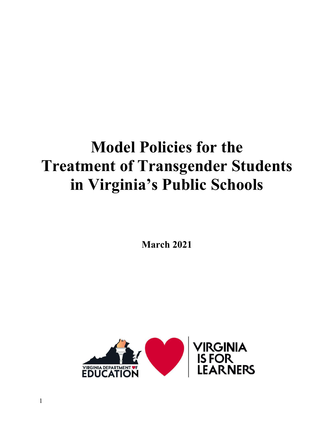# **Model Policies for the Treatment of Transgender Students in Virginia's Public Schools**

**March 2021** 

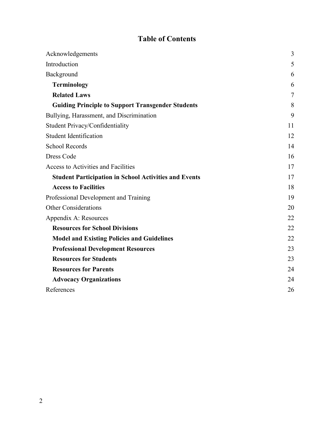# **Table of Contents**

| Acknowledgements                                             | $\overline{3}$ |
|--------------------------------------------------------------|----------------|
| Introduction                                                 | 5              |
| Background                                                   | 6              |
| <b>Terminology</b>                                           | 6              |
| <b>Related Laws</b>                                          | $\overline{7}$ |
| <b>Guiding Principle to Support Transgender Students</b>     | 8              |
| Bullying, Harassment, and Discrimination                     | 9              |
| Student Privacy/Confidentiality                              | 11             |
| <b>Student Identification</b>                                | 12             |
| <b>School Records</b>                                        | 14             |
| Dress Code                                                   | 16             |
| Access to Activities and Facilities                          | 17             |
| <b>Student Participation in School Activities and Events</b> | 17             |
| <b>Access to Facilities</b>                                  | 18             |
| Professional Development and Training                        | 19             |
| <b>Other Considerations</b>                                  | 20             |
| Appendix A: Resources                                        | 22             |
| <b>Resources for School Divisions</b>                        | 22             |
| <b>Model and Existing Policies and Guidelines</b>            | 22             |
| <b>Professional Development Resources</b>                    | 23             |
| <b>Resources for Students</b>                                | 23             |
| <b>Resources for Parents</b>                                 | 24             |
| <b>Advocacy Organizations</b>                                | 24             |
| References                                                   | 26             |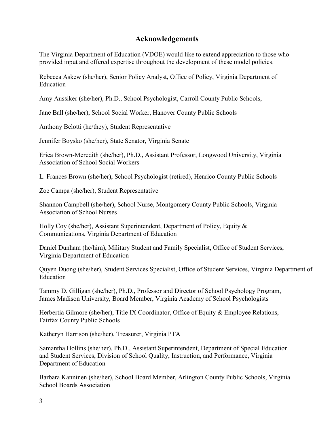## **Acknowledgements**

<span id="page-2-0"></span>The Virginia Department of Education (VDOE) would like to extend appreciation to those who provided input and offered expertise throughout the development of these model policies.

Rebecca Askew (she/her), Senior Policy Analyst, Office of Policy, Virginia Department of Education

Amy Aussiker (she/her), Ph.D., School Psychologist, Carroll County Public Schools,

Jane Ball (she/her), School Social Worker, Hanover County Public Schools

Anthony Belotti (he/they), Student Representative

Jennifer Boysko (she/her), State Senator, Virginia Senate

Erica Brown-Meredith (she/her), Ph.D., Assistant Professor, Longwood University, Virginia Association of School Social Workers

L. Frances Brown (she/her), School Psychologist (retired), Henrico County Public Schools

Zoe Campa (she/her), Student Representative

Shannon Campbell (she/her), School Nurse, Montgomery County Public Schools, Virginia Association of School Nurses

Holly Coy (she/her), Assistant Superintendent, Department of Policy, Equity & Communications, Virginia Department of Education

Daniel Dunham (he/him), Military Student and Family Specialist, Office of Student Services, Virginia Department of Education

Quyen Duong (she/her), Student Services Specialist, Office of Student Services, Virginia Department of Education

Tammy D. Gilligan (she/her), Ph.D., Professor and Director of School Psychology Program, James Madison University, Board Member, Virginia Academy of School Psychologists

Herbertia Gilmore (she/her), Title IX Coordinator, Office of Equity & Employee Relations, Fairfax County Public Schools

Katheryn Harrison (she/her), Treasurer, Virginia PTA

Samantha Hollins (she/her), Ph.D., Assistant Superintendent, Department of Special Education and Student Services, Division of School Quality, Instruction, and Performance, Virginia Department of Education

Barbara Kanninen (she/her), School Board Member, Arlington County Public Schools, Virginia School Boards Association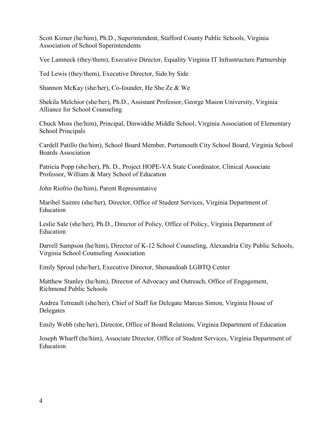Scott Kizner (he/him), Ph.D., Superintendent, Stafford County Public Schools, Virginia Association of School Superintendents

Vee Lamneck (they/them), Executive Director, Equality Virginia IT Infrastructure Partnership

Ted Lewis (they/them), Executive Director, Side by Side

Shannon McKay (she/her), Co-founder, He She Ze & We

Shekila Melchior (she/her), Ph.D., Assistant Professor, George Mason University, Virginia Alliance for School Counseling

Chuck Moss (he/him), Principal, Dinwiddie Middle School, Virginia Association of Elementary School Principals

Cardell Patillo (he/him), School Board Member, Portsmouth City School Board, Virginia School Boards Association

Patricia Popp (she/her), Ph. D., Project HOPE-VA State Coordinator, Clinical Associate Professor, William & Mary School of Education

John Riofrio (he/him), Parent Representative

Maribel Saimre (she/her), Director, Office of Student Services, Virginia Department of Education

Leslie Sale (she/her), Ph.D., Director of Policy, Office of Policy, Virginia Department of Education

Darrell Sampson (he/him), Director of K-12 School Counseling, Alexandria City Public Schools, Virginia School Counseling Association

Emily Sproul (she/her), Executive Director, Shenandoah LGBTQ Center

Matthew Stanley (he/him), Director of Advocacy and Outreach, Office of Engagement, Richmond Public Schools

Andrea Tetreault (she/her), Chief of Staff for Delegate Marcus Simon, Virginia House of Delegates

Emily Webb (she/her), Director, Office of Board Relations, Virginia Department of Education

Joseph Wharff (he/him), Associate Director, Office of Student Services, Virginia Department of Education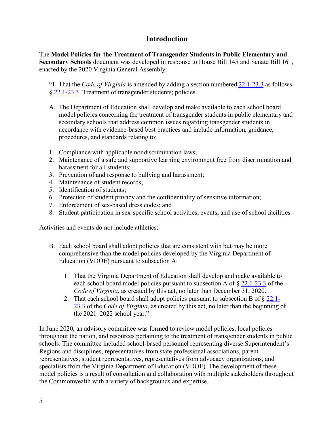## **Introduction**

<span id="page-4-0"></span>The **Model Policies for the Treatment of Transgender Students in Public Elementary and Secondary Schools** document was developed in response to House Bill 145 and Senate Bill 161, enacted by the 2020 Virginia General Assembly:

"1. That the *Code of Virginia* is amended by adding a section numbered [22.1-23.3](http://law.lis.virginia.gov/vacode/22.1-23.3) as follows § [22.1-23.3.](http://law.lis.virginia.gov/vacode/22.1-23.3) Treatment of transgender students; policies.

- A. The Department of Education shall develop and make available to each school board model policies concerning the treatment of transgender students in public elementary and secondary schools that address common issues regarding transgender students in accordance with evidence-based best practices and include information, guidance, procedures, and standards relating to:
- 1. Compliance with applicable nondiscrimination laws;
- 2. Maintenance of a safe and supportive learning environment free from discrimination and harassment for all students;
- 3. Prevention of and response to bullying and harassment;
- 4. Maintenance of student records;
- 5. Identification of students;
- 6. Protection of student privacy and the confidentiality of sensitive information;
- 7. Enforcement of sex-based dress codes; and
- 8. Student participation in sex-specific school activities, events, and use of school facilities.

Activities and events do not include athletics:

- B. Each school board shall adopt policies that are consistent with but may be more comprehensive than the model policies developed by the Virginia Department of Education (VDOE) pursuant to subsection A:
	- 1. That the Virginia Department of Education shall develop and make available to each school board model policies pursuant to subsection A of § [22.1-23.3](http://law.lis.virginia.gov/vacode/22.1-23.3) of the *Code of Virginia*, as created by this act, no later than December 31, 2020.
	- 2. That each school board shall adopt policies pursuant to subsection B of § [22.1-](http://law.lis.virginia.gov/vacode/22.1-23.3) [23.3](http://law.lis.virginia.gov/vacode/22.1-23.3) of the *Code of Virginia*, as created by this act, no later than the beginning of the 2021–2022 school year."

In June 2020, an advisory committee was formed to review model policies, local policies throughout the nation, and resources pertaining to the treatment of transgender students in public schools. The committee included school-based personnel representing diverse Superintendent's Regions and disciplines, representatives from state professional associations, parent representatives, student representatives, representatives from advocacy organizations, and specialists from the Virginia Department of Education (VDOE). The development of these model policies is a result of consultation and collaboration with multiple stakeholders throughout the Commonwealth with a variety of backgrounds and expertise.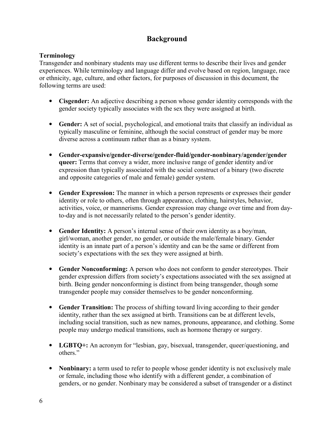## **Background**

#### <span id="page-5-0"></span>**Terminology**

Transgender and nonbinary students may use different terms to describe their lives and gender experiences. While terminology and language differ and evolve based on region, language, race or ethnicity, age, culture, and other factors, for purposes of discussion in this document, the following terms are used:

- **Cisgender:** An adjective describing a person whose gender identity corresponds with the gender society typically associates with the sex they were assigned at birth.
- **Gender:** A set of social, psychological, and emotional traits that classify an individual as typically masculine or feminine, although the social construct of gender may be more diverse across a continuum rather than as a binary system.
- **Gender-expansive/gender-diverse/gender-fluid/gender-nonbinary/agender/gender queer:** Terms that convey a wider, more inclusive range of gender identity and/or expression than typically associated with the social construct of a binary (two discrete and opposite categories of male and female) gender system.
- **Gender Expression:** The manner in which a person represents or expresses their gender identity or role to others, often through appearance, clothing, hairstyles, behavior, activities, voice, or mannerisms. Gender expression may change over time and from dayto-day and is not necessarily related to the person's gender identity.
- **Gender Identity:** A person's internal sense of their own identity as a boy/man, girl/woman, another gender, no gender, or outside the male/female binary. Gender identity is an innate part of a person's identity and can be the same or different from society's expectations with the sex they were assigned at birth.
- **Gender Nonconforming:** A person who does not conform to gender stereotypes. Their gender expression differs from society's expectations associated with the sex assigned at birth. Being gender nonconforming is distinct from being transgender, though some transgender people may consider themselves to be gender nonconforming.
- **Gender Transition:** The process of shifting toward living according to their gender identity, rather than the sex assigned at birth. Transitions can be at different levels, including social transition, such as new names, pronouns, appearance, and clothing. Some people may undergo medical transitions, such as hormone therapy or surgery.
- **LGBTO**+: An acronym for "lesbian, gay, bisexual, transgender, queer/questioning, and others."
- **Nonbinary:** a term used to refer to people whose gender identity is not exclusively male or female, including those who identify with a different gender, a combination of genders, or no gender. Nonbinary may be considered a subset of transgender or a distinct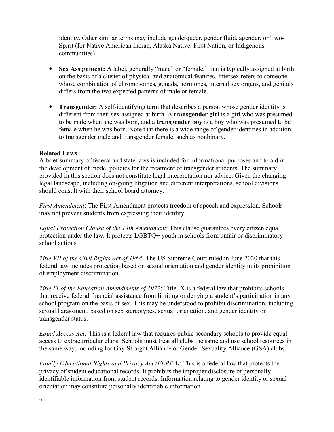<span id="page-6-0"></span>identity. Other similar terms may include genderqueer, gender fluid, agender, or Two-Spirit (for Native American Indian, Alaska Native, First Nation, or Indigenous communities).

- **Sex Assignment:** A label, generally "male" or "female," that is typically assigned at birth on the basis of a cluster of physical and anatomical features. Intersex refers to someone whose combination of chromosomes, gonads, hormones, internal sex organs, and genitals differs from the two expected patterns of male or female.
- **Transgender:** A self-identifying term that describes a person whose gender identity is different from their sex assigned at birth. A **transgender girl** is a girl who was presumed to be male when she was born, and a **transgender boy** is a boy who was presumed to be female when he was born. Note that there is a wide range of gender identities in addition to transgender male and transgender female, such as nonbinary.

#### **Related Laws**

A brief summary of federal and state laws is included for informational purposes and to aid in the development of model policies for the treatment of transgender students. The summary provided in this section does not constitute legal interpretation nor advice. Given the changing legal landscape, including on-going litigation and different interpretations, school divisions should consult with their school board attorney.

*First Amendment*: The First Amendment protects freedom of speech and expression. Schools may not prevent students from expressing their identity.

*Equal Protection Clause of the 14th Amendment*: This clause guarantees every citizen equal protection under the law. It protects LGBTQ+ youth in schools from unfair or discriminatory school actions.

*Title VII of the Civil Rights Act of 1964*: The US Supreme Court ruled in June 2020 that this federal law includes protection based on sexual orientation and gender identity in its prohibition of employment discrimination.

*Title IX of the Education Amendments of 1972*: Title IX is a federal law that prohibits schools that receive federal financial assistance from limiting or denying a student's participation in any school program on the basis of sex. This may be understood to prohibit discrimination, including sexual harassment, based on sex stereotypes, sexual orientation, and gender identity or transgender status.

*Equal Access Act:* This is a federal law that requires public secondary schools to provide equal access to extracurricular clubs. Schools must treat all clubs the same and use school resources in the same way, including for Gay-Straight Alliance or Gender-Sexuality Alliance (GSA) clubs.

*Family Educational Rights and Privacy Act (FERPA)*: This is a federal law that protects the privacy of student educational records. It prohibits the improper disclosure of personally identifiable information from student records. Information relating to gender identity or sexual orientation may constitute personally identifiable information.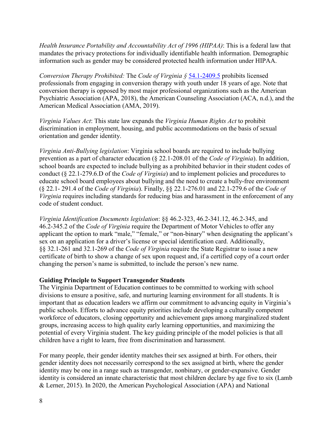<span id="page-7-0"></span>*Health Insurance Portability and Accountability Act of 1996 (HIPAA)*: This is a federal law that mandates the privacy protections for individually identifiable health information. Demographic information such as gender may be considered protected health information under HIPAA.

*Conversion Therapy Prohibited:* The *Code of Virginia §* [54.1-2409.5](http://law.lis.virginia.gov/vacode/54.1-2409.5) prohibits licensed professionals from engaging in conversion therapy with youth under 18 years of age. Note that conversion therapy is opposed by most major professional organizations such as the American Psychiatric Association (APA, 2018), the American Counseling Association (ACA, n.d.), and the American Medical Association (AMA, 2019).

*Virginia Values Act*: This state law expands the *Virginia Human Rights Act* to prohibit discrimination in employment, housing, and public accommodations on the basis of sexual orientation and gender identity.

*Virginia Anti-Bullying legislation*: Virginia school boards are required to include bullying prevention as a part of character education (§ 22.1-208.01 of the *Code of Virginia*). In addition, school boards are expected to include bullying as a prohibited behavior in their student codes of conduct (§ 22.1-279.6.D of the *Code of Virginia*) and to implement policies and procedures to educate school board employees about bullying and the need to create a bully-free environment (§ 22.1- 291.4 of the *Code of Virginia*). Finally, §§ 22.1-276.01 and 22.1-279.6 of the *Code of Virginia* requires including standards for reducing bias and harassment in the enforcement of any code of student conduct.

*Virginia Identification Documents legislation*: §§ 46.2-323, 46.2-341.12, 46.2-345, and 46.2-345.2 of the *Code of Virginia* require the Department of Motor Vehicles to offer any applicant the option to mark "male," "female," or "non-binary" when designating the applicant's sex on an application for a driver's license or special identification card. Additionally, §§ 32.1-261 and 32.1-269 of the *Code of Virginia* require the State Registrar to issue a new certificate of birth to show a change of sex upon request and, if a certified copy of a court order changing the person's name is submitted, to include the person's new name.

#### **Guiding Principle to Support Transgender Students**

The Virginia Department of Education continues to be committed to working with school divisions to ensure a positive, safe, and nurturing learning environment for all students. It is important that as education leaders we affirm our commitment to advancing equity in Virginia's public schools. Efforts to advance equity priorities include developing a culturally competent workforce of educators, closing opportunity and achievement gaps among marginalized student groups, increasing access to high quality early learning opportunities, and maximizing the potential of every Virginia student. The key guiding principle of the model policies is that all children have a right to learn, free from discrimination and harassment.

For many people, their gender identity matches their sex assigned at birth. For others, their gender identity does not necessarily correspond to the sex assigned at birth, where the gender identity may be one in a range such as transgender, nonbinary, or gender-expansive. Gender identity is considered an innate characteristic that most children declare by age five to six (Lamb & Lerner, 2015). In 2020, the American Psychological Association (APA) and National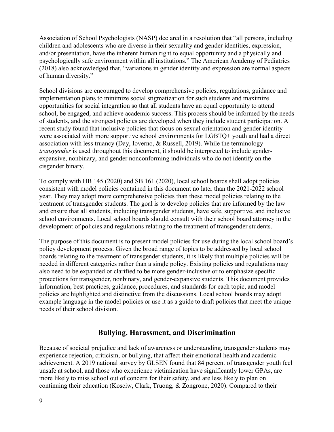<span id="page-8-0"></span>Association of School Psychologists (NASP) declared in a resolution that "all persons, including children and adolescents who are diverse in their sexuality and gender identities, expression, and/or presentation, have the inherent human right to equal opportunity and a physically and psychologically safe environment within all institutions." The American Academy of Pediatrics (2018) also acknowledged that, "variations in gender identity and expression are normal aspects of human diversity."

School divisions are encouraged to develop comprehensive policies, regulations, guidance and implementation plans to minimize social stigmatization for such students and maximize opportunities for social integration so that all students have an equal opportunity to attend school, be engaged, and achieve academic success. This process should be informed by the needs of students, and the strongest policies are developed when they include student participation. A recent study found that inclusive policies that focus on sexual orientation and gender identity were associated with more supportive school environments for LGBTQ+ youth and had a direct association with less truancy (Day, Ioverno, & Russell, 2019). While the terminology *transgender* is used throughout this document, it should be interpreted to include genderexpansive, nonbinary, and gender nonconforming individuals who do not identify on the cisgender binary.

To comply with HB 145 (2020) and SB 161 (2020), local school boards shall adopt policies consistent with model policies contained in this document no later than the 2021-2022 school year. They may adopt more comprehensive policies than these model policies relating to the treatment of transgender students. The goal is to develop policies that are informed by the law and ensure that all students, including transgender students, have safe, supportive, and inclusive school environments. Local school boards should consult with their school board attorney in the development of policies and regulations relating to the treatment of transgender students.

The purpose of this document is to present model policies for use during the local school board's policy development process. Given the broad range of topics to be addressed by local school boards relating to the treatment of transgender students, it is likely that multiple policies will be needed in different categories rather than a single policy. Existing policies and regulations may also need to be expanded or clarified to be more gender-inclusive or to emphasize specific protections for transgender, nonbinary, and gender-expansive students. This document provides information, best practices, guidance, procedures, and standards for each topic, and model policies are highlighted and distinctive from the discussions. Local school boards may adopt example language in the model policies or use it as a guide to draft policies that meet the unique needs of their school division.

## **Bullying, Harassment, and Discrimination**

Because of societal prejudice and lack of awareness or understanding, transgender students may experience rejection, criticism, or bullying, that affect their emotional health and academic achievement. A 2019 national survey by GLSEN found that 84 percent of transgender youth feel unsafe at school, and those who experience victimization have significantly lower GPAs, are more likely to miss school out of concern for their safety, and are less likely to plan on continuing their education (Kosciw, Clark, Truong, & Zongrone, 2020). Compared to their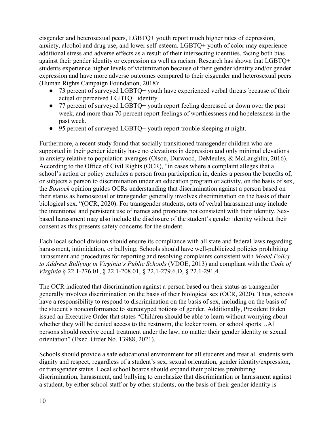cisgender and heterosexual peers, LGBTQ+ youth report much higher rates of depression, anxiety, alcohol and drug use, and lower self-esteem. LGBTQ+ youth of color may experience additional stress and adverse effects as a result of their intersecting identities, facing both bias against their gender identity or expression as well as racism. Research has shown that LGBTQ+ students experience higher levels of victimization because of their gender identity and/or gender expression and have more adverse outcomes compared to their cisgender and heterosexual peers (Human Rights Campaign Foundation, 2018):

- 73 percent of surveyed LGBTQ+ youth have experienced verbal threats because of their actual or perceived LGBTQ+ identity.
- 77 percent of surveyed LGBTQ+ youth report feeling depressed or down over the past week, and more than 70 percent report feelings of worthlessness and hopelessness in the past week.
- 95 percent of surveyed LGBTQ+ youth report trouble sleeping at night.

Furthermore, a recent study found that socially transitioned transgender children who are supported in their gender identity have no elevations in depression and only minimal elevations in anxiety relative to population averages (Olson, Durwood, DeMeules, & McLaughlin, 2016). According to the Office of Civil Rights (OCR), "in cases where a complaint alleges that a school's action or policy excludes a person from participation in, denies a person the benefits of, or subjects a person to discrimination under an education program or activity, on the basis of sex, the *Bostock* opinion guides OCRs understanding that discrimination against a person based on their status as homosexual or transgender generally involves discrimination on the basis of their biological sex. "(OCR, 2020). For transgender students, acts of verbal harassment may include the intentional and persistent use of names and pronouns not consistent with their identity. Sexbased harassment may also include the disclosure of the student's gender identity without their consent as this presents safety concerns for the student.

Each local school division should ensure its compliance with all state and federal laws regarding harassment, intimidation, or bullying. Schools should have well-publicized policies prohibiting harassment and procedures for reporting and resolving complaints consistent with *Model Policy to Address Bullying in Virginia's Public Schools* (VDOE, 2013) and compliant with the *Code of Virginia* § 22.1-276.01, § 22.1-208.01, § 22.1-279.6.D, § 22.1-291.4.

The OCR indicated that discrimination against a person based on their status as transgender generally involves discrimination on the basis of their biological sex (OCR, 2020). Thus, schools have a responsibility to respond to discrimination on the basis of sex, including on the basis of the student's nonconformance to stereotyped notions of gender. Additionally, President Biden issued an Executive Order that states "Children should be able to learn without worrying about whether they will be denied access to the restroom, the locker room, or school sports…All persons should receive equal treatment under the law, no matter their gender identity or sexual orientation" (Exec. Order No. 13988, 2021).

Schools should provide a safe educational environment for all students and treat all students with dignity and respect, regardless of a student's sex, sexual orientation, gender identity/expression, or transgender status. Local school boards should expand their policies prohibiting discrimination, harassment, and bullying to emphasize that discrimination or harassment against a student, by either school staff or by other students, on the basis of their gender identity is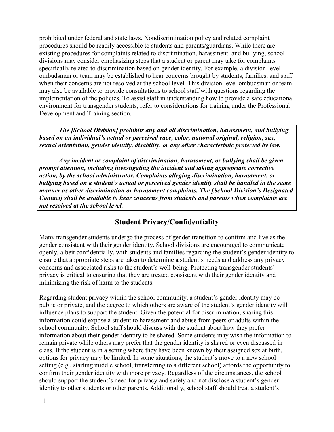<span id="page-10-0"></span>prohibited under federal and state laws. Nondiscrimination policy and related complaint procedures should be readily accessible to students and parents/guardians. While there are existing procedures for complaints related to discrimination, harassment, and bullying, school divisions may consider emphasizing steps that a student or parent may take for complaints specifically related to discrimination based on gender identity. For example, a division-level ombudsman or team may be established to hear concerns brought by students, families, and staff when their concerns are not resolved at the school level. This division-level ombudsman or team may also be available to provide consultations to school staff with questions regarding the implementation of the policies. To assist staff in understanding how to provide a safe educational environment for transgender students, refer to considerations for training under the Professional Development and Training section.

*The [School Division] prohibits any and all discrimination, harassment, and bullying based on an individual's actual or perceived race, color, national original, religion, sex, sexual orientation, gender identity, disability, or any other characteristic protected by law.*

*Any incident or complaint of discrimination, harassment, or bullying shall be given prompt attention, including investigating the incident and taking appropriate corrective action, by the school administrator. Complaints alleging discrimination, harassment, or bullying based on a student's actual or perceived gender identity shall be handled in the same manner as other discrimination or harassment complaints. The [School Division's Designated Contact] shall be available to hear concerns from students and parents when complaints are not resolved at the school level.* 

# **Student Privacy/Confidentiality**

Many transgender students undergo the process of gender transition to confirm and live as the gender consistent with their gender identity. School divisions are encouraged to communicate openly, albeit confidentially, with students and families regarding the student's gender identity to ensure that appropriate steps are taken to determine a student's needs and address any privacy concerns and associated risks to the student's well-being. Protecting transgender students' privacy is critical to ensuring that they are treated consistent with their gender identity and minimizing the risk of harm to the students.

Regarding student privacy within the school community, a student's gender identity may be public or private, and the degree to which others are aware of the student's gender identity will influence plans to support the student. Given the potential for discrimination, sharing this information could expose a student to harassment and abuse from peers or adults within the school community. School staff should discuss with the student about how they prefer information about their gender identity to be shared. Some students may wish the information to remain private while others may prefer that the gender identity is shared or even discussed in class. If the student is in a setting where they have been known by their assigned sex at birth, options for privacy may be limited. In some situations, the student's move to a new school setting (e.g., starting middle school, transferring to a different school) affords the opportunity to confirm their gender identity with more privacy. Regardless of the circumstances, the school should support the student's need for privacy and safety and not disclose a student's gender identity to other students or other parents. Additionally, school staff should treat a student's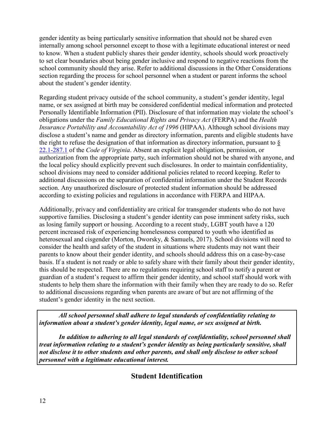<span id="page-11-0"></span>gender identity as being particularly sensitive information that should not be shared even internally among school personnel except to those with a legitimate educational interest or need to know. When a student publicly shares their gender identity, schools should work proactively to set clear boundaries about being gender inclusive and respond to negative reactions from the school community should they arise. Refer to additional discussions in the Other Considerations section regarding the process for school personnel when a student or parent informs the school about the student's gender identity.

Regarding student privacy outside of the school community, a student's gender identity, legal name, or sex assigned at birth may be considered confidential medical information and protected Personally Identifiable Information (PII). Disclosure of that information may violate the school's obligations under the *Family Educational Rights and Privacy Act* (FERPA) and the *Health Insurance Portability and Accountability Act of 1996* (HIPAA). Although school divisions may disclose a student's name and gender as directory information, parents and eligible students have [the right to](https://law.lis.virginia.gov/vacode/title22.1/chapter14/section22.1-287.1/) refuse the designation of that information as directory information, pursuant to [§](https://law.lis.virginia.gov/vacode/title22.1/chapter14/section22.1-287.1/) 22.1-287.1 of the *Code of Virginia*. Absent an explicit legal obligation, permission, or authorization from the appropriate party, such information should not be shared with anyone, and the local policy should explicitly prevent such disclosures. In order to maintain confidentiality, school divisions may need to consider additional policies related to record keeping. Refer to additional discussions on the separation of confidential information under the Student Records section. Any unauthorized disclosure of protected student information should be addressed according to existing policies and regulations in accordance with FERPA and HIPAA.

Additionally, privacy and confidentiality are critical for transgender students who do not have supportive families. Disclosing a student's gender identity can pose imminent safety risks, such as losing family support or housing. According to a recent study, LGBT youth have a 120 percent increased risk of experiencing homelessness compared to youth who identified as heterosexual and cisgender (Morton, Dworsky, & Samuels, 2017). School divisions will need to consider the health and safety of the student in situations where students may not want their parents to know about their gender identity, and schools should address this on a case-by-case basis. If a student is not ready or able to safely share with their family about their gender identity, this should be respected. There are no regulations requiring school staff to notify a parent or guardian of a student's request to affirm their gender identity, and school staff should work with students to help them share the information with their family when they are ready to do so. Refer to additional discussions regarding when parents are aware of but are not affirming of the student's gender identity in the next section.

*All school personnel shall adhere to legal standards of confidentiality relating to information about a student's gender identity, legal name, or sex assigned at birth.* 

 *In addition to adhering to all legal standards of confidentiality, school personnel shall treat information relating to a student's gender identity as being particularly sensitive, shall not disclose it to other students and other parents, and shall only disclose to other school personnel with a legitimate educational interest.* 

**Student Identification**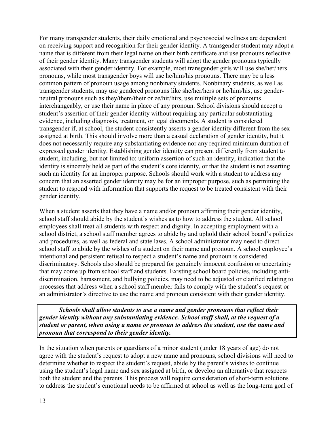For many transgender students, their daily emotional and psychosocial wellness are dependent on receiving support and recognition for their gender identity. A transgender student may adopt a name that is different from their legal name on their birth certificate and use pronouns reflective of their gender identity. Many transgender students will adopt the gender pronouns typically associated with their gender identity. For example, most transgender girls will use she/her/hers pronouns, while most transgender boys will use he/him/his pronouns. There may be a less common pattern of pronoun usage among nonbinary students. Nonbinary students, as well as transgender students, may use gendered pronouns like she/her/hers or he/him/his, use genderneutral pronouns such as they/them/their or ze/hir/hirs, use multiple sets of pronouns interchangeably, or use their name in place of any pronoun. School divisions should accept a student's assertion of their gender identity without requiring any particular substantiating evidence, including diagnosis, treatment, or legal documents. A student is considered transgender if, at school, the student consistently asserts a gender identity different from the sex assigned at birth. This should involve more than a casual declaration of gender identity, but it does not necessarily require any substantiating evidence nor any required minimum duration of expressed gender identity. Establishing gender identity can present differently from student to student, including, but not limited to: uniform assertion of such an identity, indication that the identity is sincerely held as part of the student's core identity, or that the student is not asserting such an identity for an improper purpose. Schools should work with a student to address any concern that an asserted gender identity may be for an improper purpose, such as permitting the student to respond with information that supports the request to be treated consistent with their gender identity.

When a student asserts that they have a name and/or pronoun affirming their gender identity, school staff should abide by the student's wishes as to how to address the student. All school employees shall treat all students with respect and dignity. In accepting employment with a school district, a school staff member agrees to abide by and uphold their school board's policies and procedures, as well as federal and state laws. A school administrator may need to direct school staff to abide by the wishes of a student on their name and pronoun. A school employee's intentional and persistent refusal to respect a student's name and pronoun is considered discriminatory. Schools also should be prepared for genuinely innocent confusion or uncertainty that may come up from school staff and students. Existing school board policies, including antidiscrimination, harassment, and bullying policies, may need to be adjusted or clarified relating to processes that address when a school staff member fails to comply with the student's request or an administrator's directive to use the name and pronoun consistent with their gender identity.

*Schools shall allow students to use a name and gender pronouns that reflect their gender identity without any substantiating evidence. School staff shall, at the request of a student or parent, when using a name or pronoun to address the student, use the name and pronoun that correspond to their gender identity.*

In the situation when parents or guardians of a minor student (under 18 years of age) do not agree with the student's request to adopt a new name and pronouns, school divisions will need to determine whether to respect the student's request, abide by the parent's wishes to continue using the student's legal name and sex assigned at birth, or develop an alternative that respects both the student and the parents. This process will require consideration of short-term solutions to address the student's emotional needs to be affirmed at school as well as the long-term goal of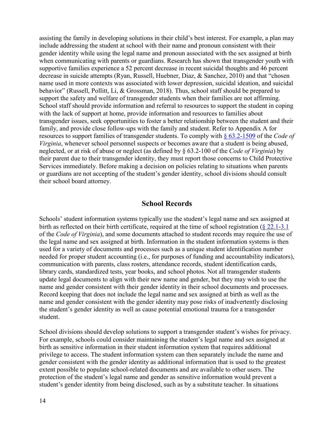<span id="page-13-0"></span>assisting the family in developing solutions in their child's best interest. For example, a plan may include addressing the student at school with their name and pronoun consistent with their gender identity while using the legal name and pronoun associated with the sex assigned at birth when communicating with parents or guardians. Research has shown that transgender youth with supportive families experience a 52 percent decrease in recent suicidal thoughts and 46 percent decrease in suicide attempts (Ryan, Russell, Huebner, Diaz, & Sanchez, 2010) and that "chosen name used in more contexts was associated with lower depression, suicidal ideation, and suicidal behavior" (Russell, Pollitt, Li, & Grossman, 2018). Thus, school staff should be prepared to support the safety and welfare of transgender students when their families are not affirming. School staff should provide information and referral to resources to support the student in coping with the lack of support at home, provide information and resources to families about transgender issues, seek opportunities to foster a better relationship between the student and their family, and provide close follow-ups with the family and student. Refer to Appendix A for resources to support families of transgender students. To comply with [§ 63.2-1509](https://law.lis.virginia.gov/vacode/title63.2/chapter15/section63.2-1509/) of the *Code of Virginia*, whenever school personnel suspects or becomes aware that a student is being abused, neglected, or at risk of abuse or neglect (as defined by § 63.2-100 of the *Code of Virginia*) by their parent due to their transgender identity, they must report those concerns to Child Protective Services immediately. Before making a decision on policies relating to situations when parents or guardians are not accepting of the student's gender identity, school divisions should consult their school board attorney.

#### **School Records**

Schools' student information systems typically use the student's legal name and sex assigned at birth as reflected on their birth certificate, required at the time of school registration ([§ 22.1-3.1](https://law.lis.virginia.gov/vacode/title22.1/chapter1/section22.1-3.1/) of the *Code of Virginia*), and some documents attached to student records may require the use of the legal name and sex assigned at birth. Information in the student information systems is then used for a variety of documents and processes such as a unique student identification number needed for proper student accounting (i.e., for purposes of funding and accountability indicators), communication with parents, class rosters, attendance records, student identification cards, library cards, standardized tests, year books, and school photos. Not all transgender students update legal documents to align with their new name and gender, but they may wish to use the name and gender consistent with their gender identity in their school documents and processes. Record keeping that does not include the legal name and sex assigned at birth as well as the name and gender consistent with the gender identity may pose risks of inadvertently disclosing the student's gender identity as well as cause potential emotional trauma for a transgender student.

School divisions should develop solutions to support a transgender student's wishes for privacy. For example, schools could consider maintaining the student's legal name and sex assigned at birth as sensitive information in their student information system that requires additional privilege to access. The student information system can then separately include the name and gender consistent with the gender identity as additional information that is used to the greatest extent possible to populate school-related documents and are available to other users. The protection of the student's legal name and gender as sensitive information would prevent a student's gender identity from being disclosed, such as by a substitute teacher. In situations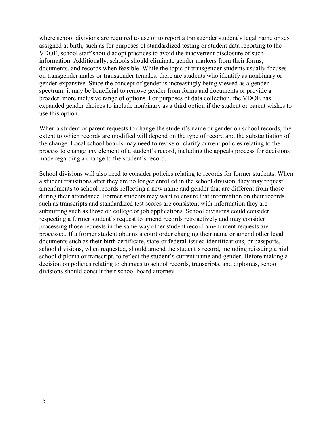where school divisions are required to use or to report a transgender student's legal name or sex assigned at birth, such as for purposes of standardized testing or student data reporting to the VDOE, school staff should adopt practices to avoid the inadvertent disclosure of such information. Additionally, schools should eliminate gender markers from their forms, documents, and records when feasible. While the topic of transgender students usually focuses on transgender males or transgender females, there are students who identify as nonbinary or gender-expansive. Since the concept of gender is increasingly being viewed as a gender spectrum, it may be beneficial to remove gender from forms and documents or provide a broader, more inclusive range of options. For purposes of data collection, the VDOE has expanded gender choices to include nonbinary as a third option if the student or parent wishes to use this option.

When a student or parent requests to change the student's name or gender on school records, the extent to which records are modified will depend on the type of record and the substantiation of the change. Local school boards may need to revise or clarify current policies relating to the process to change any element of a student's record, including the appeals process for decisions made regarding a change to the student's record.

School divisions will also need to consider policies relating to records for former students. When a student transitions after they are no longer enrolled in the school division, they may request amendments to school records reflecting a new name and gender that are different from those during their attendance. Former students may want to ensure that information on their records such as transcripts and standardized test scores are consistent with information they are submitting such as those on college or job applications. School divisions could consider respecting a former student's request to amend records retroactively and may consider processing those requests in the same way other student record amendment requests are processed. If a former student obtains a court order changing their name or amend other legal documents such as their birth certificate, state-or federal-issued identifications, or passports, school divisions, when requested, should amend the student's record, including reissuing a high school diploma or transcript, to reflect the student's current name and gender. Before making a decision on policies relating to changes to school records, transcripts, and diplomas, school divisions should consult their school board attorney.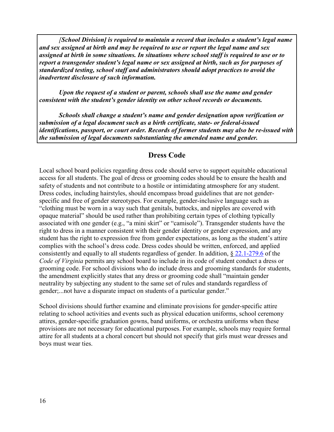<span id="page-15-0"></span>*[School Division] is required to maintain a record that includes a student's legal name and sex assigned at birth and may be required to use or report the legal name and sex assigned at birth in some situations. In situations where school staff is required to use or to report a transgender student's legal name or sex assigned at birth, such as for purposes of standardized testing, school staff and administrators should adopt practices to avoid the inadvertent disclosure of such information.* 

*Upon the request of a student or parent, schools shall use the name and gender consistent with the student's gender identity on other school records or documents.* 

*Schools shall change a student's name and gender designation upon verification or submission of a legal document such as a birth certificate, state- or federal-issued identifications, passport, or court order. Records of former students may also be re-issued with the submission of legal documents substantiating the amended name and gender.* 

### **Dress Code**

Local school board policies regarding dress code should serve to support equitable educational access for all students. The goal of dress or grooming codes should be to ensure the health and safety of students and not contribute to a hostile or intimidating atmosphere for any student. Dress codes, including hairstyles, should encompass broad guidelines that are not genderspecific and free of gender stereotypes. For example, gender-inclusive language such as "clothing must be worn in a way such that genitals, buttocks, and nipples are covered with opaque material" should be used rather than prohibiting certain types of clothing typically associated with one gender (e.g., "a mini skirt" or "camisole"). Transgender students have the right to dress in a manner consistent with their gender identity or gender expression, and any student has the right to expression free from gender expectations, as long as the student's attire complies with the school's dress code. Dress codes should be written, enforced, and applied consistently and equally to all students regardless of gender. In addition, § [22.1-279.6](https://law.lis.virginia.gov/vacode/title22.1/chapter14/section22.1-279.6/) of the *Code of Virginia* permits any school board to include in its code of student conduct a dress or grooming code. For school divisions who do include dress and grooming standards for students, the amendment explicitly states that any dress or grooming code shall "maintain gender neutrality by subjecting any student to the same set of rules and standards regardless of gender;...not have a disparate impact on students of a particular gender."

School divisions should further examine and eliminate provisions for gender-specific attire relating to school activities and events such as physical education uniforms, school ceremony attires, gender-specific graduation gowns, band uniforms, or orchestra uniforms when these provisions are not necessary for educational purposes. For example, schools may require formal attire for all students at a choral concert but should not specify that girls must wear dresses and boys must wear ties.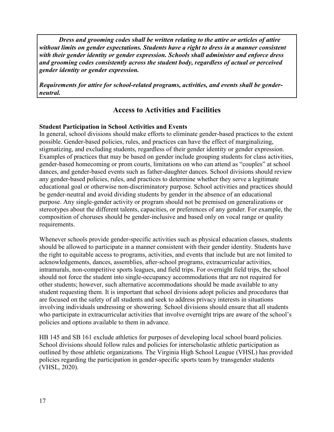<span id="page-16-0"></span>*Dress and grooming codes shall be written relating to the attire or articles of attire without limits on gender expectations. Students have a right to dress in a manner consistent with their gender identity or gender expression. Schools shall administer and enforce dress and grooming codes consistently across the student body, regardless of actual or perceived gender identity or gender expression.* 

*Requirements for attire for school-related programs, activities, and events shall be genderneutral.* 

## **Access to Activities and Facilities**

#### **Student Participation in School Activities and Events**

In general, school divisions should make efforts to eliminate gender-based practices to the extent possible. Gender-based policies, rules, and practices can have the effect of marginalizing, stigmatizing, and excluding students, regardless of their gender identity or gender expression. Examples of practices that may be based on gender include grouping students for class activities, gender-based homecoming or prom courts, limitations on who can attend as "couples" at school dances, and gender-based events such as father-daughter dances. School divisions should review any gender-based policies, rules, and practices to determine whether they serve a legitimate educational goal or otherwise non-discriminatory purpose. School activities and practices should be gender-neutral and avoid dividing students by gender in the absence of an educational purpose. Any single-gender activity or program should not be premised on generalizations or stereotypes about the different talents, capacities, or preferences of any gender. For example, the composition of choruses should be gender-inclusive and based only on vocal range or quality requirements.

Whenever schools provide gender-specific activities such as physical education classes, students should be allowed to participate in a manner consistent with their gender identity. Students have the right to equitable access to programs, activities, and events that include but are not limited to acknowledgements, dances, assemblies, after-school programs, extracurricular activities, intramurals, non-competitive sports leagues, and field trips. For overnight field trips, the school should not force the student into single-occupancy accommodations that are not required for other students; however, such alternative accommodations should be made available to any student requesting them. It is important that school divisions adopt policies and procedures that are focused on the safety of all students and seek to address privacy interests in situations involving individuals undressing or showering. School divisions should ensure that all students who participate in extracurricular activities that involve overnight trips are aware of the school's policies and options available to them in advance.

HB 145 and SB 161 exclude athletics for purposes of developing local school board policies. School divisions should follow rules and policies for interscholastic athletic participation as outlined by those athletic organizations. The Virginia High School League (VHSL) has provided policies regarding the participation in gender-specific sports team by transgender students (VHSL, 2020).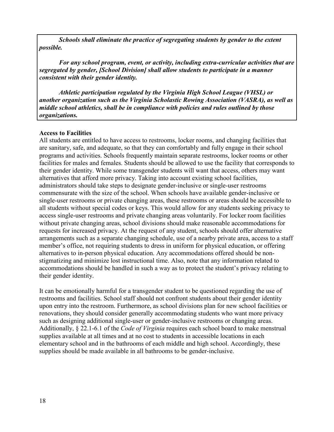<span id="page-17-0"></span> *Schools shall eliminate the practice of segregating students by gender to the extent possible.* 

*For any school program, event, or activity, including extra-curricular activities that are segregated by gender, [School Division] shall allow students to participate in a manner consistent with their gender identity.* 

*Athletic participation regulated by the Virginia High School League (VHSL) or another organization such as the Virginia Scholastic Rowing Association (VASRA), as well as middle school athletics, shall be in compliance with policies and rules outlined by those organizations.* 

#### **Access to Facilities**

All students are entitled to have access to restrooms, locker rooms, and changing facilities that are sanitary, safe, and adequate, so that they can comfortably and fully engage in their school programs and activities. Schools frequently maintain separate restrooms, locker rooms or other facilities for males and females. Students should be allowed to use the facility that corresponds to their gender identity. While some transgender students will want that access, others may want alternatives that afford more privacy. Taking into account existing school facilities, administrators should take steps to designate gender-inclusive or single-user restrooms commensurate with the size of the school. When schools have available gender-inclusive or single-user restrooms or private changing areas, these restrooms or areas should be accessible to all students without special codes or keys. This would allow for any students seeking privacy to access single-user restrooms and private changing areas voluntarily. For locker room facilities without private changing areas, school divisions should make reasonable accommodations for requests for increased privacy. At the request of any student, schools should offer alternative arrangements such as a separate changing schedule, use of a nearby private area, access to a staff member's office, not requiring students to dress in uniform for physical education, or offering alternatives to in-person physical education. Any accommodations offered should be nonstigmatizing and minimize lost instructional time. Also, note that any information related to accommodations should be handled in such a way as to protect the student's privacy relating to their gender identity.

It can be emotionally harmful for a transgender student to be questioned regarding the use of restrooms and facilities. School staff should not confront students about their gender identity upon entry into the restroom. Furthermore, as school divisions plan for new school facilities or renovations, they should consider generally accommodating students who want more privacy such as designing additional single-user or gender-inclusive restrooms or changing areas. Additionally, [§](https://law.lis.virginia.gov/vacode/title22.1/chapter14/section22.1-279.6/) 22.1-6.1 of the *Code of Virginia* requires each school board to make menstrual supplies available at all times and at no cost to students in accessible locations in each elementary school and in the bathrooms of each middle and high school. Accordingly, these supplies should be made available in all bathrooms to be gender-inclusive.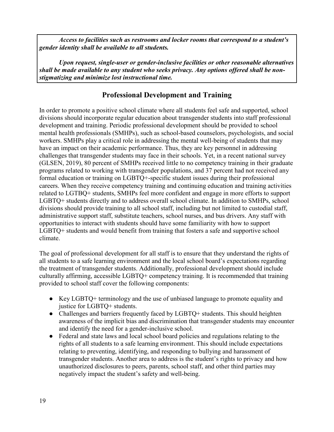<span id="page-18-0"></span> *Access to facilities such as restrooms and locker rooms that correspond to a student's gender identity shall be available to all students.* 

*Upon request, single-user or gender-inclusive facilities or other reasonable alternatives shall be made available to any student who seeks privacy. Any options offered shall be nonstigmatizing and minimize lost instructional time.* 

# **Professional Development and Training**

In order to promote a positive school climate where all students feel safe and supported, school divisions should incorporate regular education about transgender students into staff professional development and training. Periodic professional development should be provided to school mental health professionals (SMHPs), such as school-based counselors, psychologists, and social workers. SMHPs play a critical role in addressing the mental well-being of students that may have an impact on their academic performance. Thus, they are key personnel in addressing challenges that transgender students may face in their schools. Yet, in a recent national survey (GLSEN, 2019), 80 percent of SMHPs received little to no competency training in their graduate programs related to working with transgender populations, and 37 percent had not received any formal education or training on LGBTQ+-specific student issues during their professional careers. When they receive competency training and continuing education and training activities related to LGTBQ+ students, SMHPs feel more confident and engage in more efforts to support LGBTQ+ students directly and to address overall school climate. In addition to SMHPs, school divisions should provide training to all school staff, including but not limited to custodial staff, administrative support staff, substitute teachers, school nurses, and bus drivers. Any staff with opportunities to interact with students should have some familiarity with how to support LGBTQ+ students and would benefit from training that fosters a safe and supportive school climate.

The goal of professional development for all staff is to ensure that they understand the rights of all students to a safe learning environment and the local school board's expectations regarding the treatment of transgender students. Additionally, professional development should include culturally affirming, accessible LGBTQ+ competency training. It is recommended that training provided to school staff cover the following components:

- Key LGBTQ+ terminology and the use of unbiased language to promote equality and justice for LGBTQ+ students.
- Challenges and barriers frequently faced by LGBTQ+ students. This should heighten awareness of the implicit bias and discrimination that transgender students may encounter and identify the need for a gender-inclusive school.
- Federal and state laws and local school board policies and regulations relating to the rights of all students to a safe learning environment. This should include expectations relating to preventing, identifying, and responding to bullying and harassment of transgender students. Another area to address is the student's rights to privacy and how unauthorized disclosures to peers, parents, school staff, and other third parties may negatively impact the student's safety and well-being.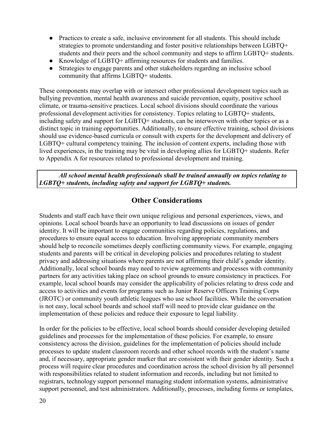- <span id="page-19-0"></span>• Practices to create a safe, inclusive environment for all students. This should include strategies to promote understanding and foster positive relationships between LGBTQ+ students and their peers and the school community and steps to affirm LGBTQ+ students.
- Knowledge of LGBTQ+ affirming resources for students and families.
- Strategies to engage parents and other stakeholders regarding an inclusive school community that affirms LGBTQ+ students.

These components may overlap with or intersect other professional development topics such as bullying prevention, mental health awareness and suicide prevention, equity, positive school climate, or trauma-sensitive practices. Local school divisions should coordinate the various professional development activities for consistency. Topics relating to LGBTQ+ students, including safety and support for LGBTQ+ students, can be interwoven with other topics or as a distinct topic in training opportunities. Additionally, to ensure effective training, school divisions should use evidence-based curricula or consult with experts for the development and delivery of LGBTQ+ cultural competency training. The inclusion of content experts, including those with lived experiences, in the training may be vital in developing allies for LGBTQ+ students. Refer to Appendix A for resources related to professional development and training.

*All school mental health professionals shall be trained annually on topics relating to LGBTQ+ students, including safety and support for LGBTQ+ students.* 

# **Other Considerations**

Students and staff each have their own unique religious and personal experiences, views, and opinions. Local school boards have an opportunity to lead discussions on issues of gender identity. It will be important to engage communities regarding policies, regulations, and procedures to ensure equal access to education. Involving appropriate community members should help to reconcile sometimes deeply conflicting community views. For example, engaging students and parents will be critical in developing policies and procedures relating to student privacy and addressing situations where parents are not affirming their child's gender identity. Additionally, local school boards may need to review agreements and processes with community partners for any activities taking place on school grounds to ensure consistency in practices. For example, local school boards may consider the applicability of policies relating to dress code and access to activities and events for programs such as Junior Reserve Officers Training Corps (JROTC) or community youth athletic leagues who use school facilities. While the conversation is not easy, local school boards and school staff will need to provide clear guidance on the implementation of these policies and reduce their exposure to legal liability.

In order for the policies to be effective, local school boards should consider developing detailed guidelines and processes for the implementation of these policies. For example, to ensure consistency across the division, guidelines for the implementation of policies should include processes to update student classroom records and other school records with the student's name and, if necessary, appropriate gender marker that are consistent with their gender identity. Such a process will require clear procedures and coordination across the school division by all personnel with responsibilities related to student information and records, including but not limited to registrars, technology support personnel managing student information systems, administrative support personnel, and test administrators. Additionally, processes, including forms or templates,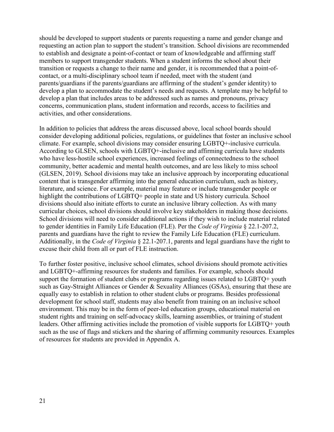should be developed to support students or parents requesting a name and gender change and requesting an action plan to support the student's transition. School divisions are recommended to establish and designate a point-of-contact or team of knowledgeable and affirming staff members to support transgender students. When a student informs the school about their transition or requests a change to their name and gender, it is recommended that a point-ofcontact, or a multi-disciplinary school team if needed, meet with the student (and parents/guardians if the parents/guardians are affirming of the student's gender identity) to develop a plan to accommodate the student's needs and requests. A template may be helpful to develop a plan that includes areas to be addressed such as names and pronouns, privacy concerns, communication plans, student information and records, access to facilities and activities, and other considerations.

In addition to policies that address the areas discussed above, local school boards should consider developing additional policies, regulations, or guidelines that foster an inclusive school climate. For example, school divisions may consider ensuring LGBTQ+-inclusive curricula. According to GLSEN, schools with LGBTQ+-inclusive and affirming curricula have students who have less-hostile school experiences, increased feelings of connectedness to the school community, better academic and mental health outcomes, and are less likely to miss school (GLSEN, 2019). School divisions may take an inclusive approach by incorporating educational content that is transgender affirming into the general education curriculum, such as history, literature, and science. For example, material may feature or include transgender people or highlight the contributions of LGBTQ+ people in state and US history curricula. School divisions should also initiate efforts to curate an inclusive library collection. As with many curricular choices, school divisions should involve key stakeholders in making those decisions. School divisions will need to consider additional actions if they wish to include material related to gender identities in Family Life Education (FLE). Per the *Code of Virginia* § 22.1-207.2, parents and guardians have the right to review the Family Life Education (FLE) curriculum. Additionally, in the *Code of Virginia* § 22.1-207.1, parents and legal guardians have the right to excuse their child from all or part of FLE instruction.

To further foster positive, inclusive school climates, school divisions should promote activities and LGBTQ+-affirming resources for students and families. For example, schools should support the formation of student clubs or programs regarding issues related to LGBTQ+ youth such as Gay-Straight Alliances or Gender & Sexuality Alliances (GSAs), ensuring that these are equally easy to establish in relation to other student clubs or programs. Besides professional development for school staff, students may also benefit from training on an inclusive school environment. This may be in the form of peer-led education groups, educational material on student rights and training on self-advocacy skills, learning assemblies, or training of student leaders. Other affirming activities include the promotion of visible supports for LGBTQ+ youth such as the use of flags and stickers and the sharing of affirming community resources. Examples of resources for students are provided in Appendix A.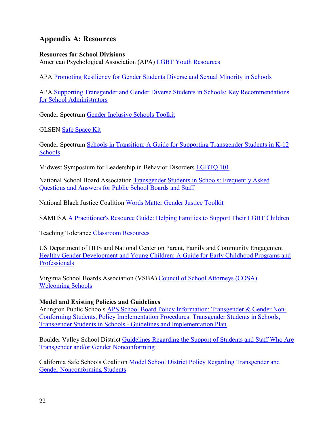## <span id="page-21-0"></span>**Appendix A: Resources**

#### **Resources for School Divisions**

American Psychological Association (APA) [LGBT Youth Resources](https://www.apa.org/pi/lgbt/programs/safe-supportive/lgbt) 

APA [Promoting Resiliency for Gender Students Diverse and Sexual Minority in Schools](https://www.apa.org/pi/lgbt/programs/safe-supportive/lgbt/resilience)

APA [Supporting Transgender and Gender Diverse Students in Schools: Key Recommendations](https://www.apa.org/pi/lgbt/programs/safe-supportive/lgbt/school-administrators.pdf)  [for School Administrators](https://www.apa.org/pi/lgbt/programs/safe-supportive/lgbt/school-administrators.pdf) 

Gender Spectrum [Gender Inclusive Schools Toolkit](https://www.aisne.org/uploaded/_Information_Resources/Documents_PDF%27s/Diversity_Inclusion/Gender_Inclusive_Schools_Toolkit.pdf) 

GLSEN [Safe Space Kit](https://www.glsen.org/sites/default/files/GLSEN%20Safe%20Space%20Kit.pdf) 

Gender Spectrum [Schools in Transition: A Guide for Supporting Transgender Students in K-12](https://gender-spectrum.cdn.prismic.io/gender-spectrum%2F7c4c63b2-52f2-4cb0-a48f-dd049bf6962c_schools-in-transition-2015-min.pdf)  [Schools](https://gender-spectrum.cdn.prismic.io/gender-spectrum%2F7c4c63b2-52f2-4cb0-a48f-dd049bf6962c_schools-in-transition-2015-min.pdf) 

Midwest Symposium for Leadership in Behavior Disorders [LGBTQ 101](https://www.pageturnpro.com/Midwest-Symposium-for-Leadership-in-Behavior-Disorders/88384-ReThinking-Behavior-Winter-2019/flex.html#page/20)

National School Board Association [Transgender Students in Schools: Frequently Asked](https://cdn-files.nsba.org/s3fs-public/reports/10711-4559_Transgender_Guide_V5_Final.pdf?wMopVcBHdWlG8wtOL.XdGhhHq_Z.bX0b#:~:text=As%20stated%20above%2C%20FPCO%20has%2Cinaccurate%E2%80%9D%20or%20%E2%80%9Cmisleading.%E2%80%9D)  [Questions and Answers for Public School Boards and Staff](https://cdn-files.nsba.org/s3fs-public/reports/10711-4559_Transgender_Guide_V5_Final.pdf?wMopVcBHdWlG8wtOL.XdGhhHq_Z.bX0b#:~:text=As%20stated%20above%2C%20FPCO%20has%2Cinaccurate%E2%80%9D%20or%20%E2%80%9Cmisleading.%E2%80%9D) 

National Black Justice Coalition [Words Matter Gender Justice Toolkit](http://nbjc.org/words-matter-gender-justice-toolkit)

SAMHSA [A Practitioner's Resource Guide: Helping Families to Support Their LGBT Children](https://store.samhsa.gov/product/A-Practitioner-s-Resource-Guide-Helping-Families-to-Support-Their-LGBT-Children/PEP14-LGBTKIDS) 

Teaching Tolerance [Classroom Resources](https://www.tolerance.org/classroom-resources) 

US Department of HHS and National Center on Parent, Family and Community Engagement [Healthy Gender Development and Young Children: A Guide for Early Childhood Programs and](https://depts.washington.edu/dbpeds/healthy-gender-development.pdf)  **Professionals** 

Virginia School Boards Association (VSBA) [Council of School Attorneys \(COSA\)](https://www.vsba.org/services/vsba_cosa/) [Welcoming Schools](https://www.welcomingschools.org/) 

**Model and Existing Policies and Guidelines**

Arlington Public Schools [APS School Board Policy Information: Transgender & Gender Non-](https://www.apsva.us/student-services/transgender-gender-nonconforming-youth/)[Conforming Students,](https://www.apsva.us/student-services/transgender-gender-nonconforming-youth/) [Policy Implementation Procedures: Transgender Students in Schools,](https://go.boarddocs.com/vsba/arlington/Board.nsf/files/BDNQEE68DE84/$file/J-2%20PIP-2%20Transgender%20Students%20in%20Schools.pdf) [Transgender Students in Schools - Guidelines and Implementation Plan](https://www.apsva.us/wp-content/uploads/2019/09/Draft-Transgender-Students-in-Schools-Guidelines-English-4.pdf)

Boulder Valley School District [Guidelines Regarding the Support of Students and Staff Who Are](https://resources.finalsite.net/images/v1559688007/bvsdorg/jmzomuch2pqpxnediene/AC-E3.pdf)  [Transgender and/or Gender Nonconforming](https://resources.finalsite.net/images/v1559688007/bvsdorg/jmzomuch2pqpxnediene/AC-E3.pdf)

California Safe Schools Coalition [Model School District Policy Regarding Transgender and](http://www.casafeschools.org/resourceguide/model-school-district-policy-transgender-gender-nonconforming-students/)  [Gender Nonconforming Students](http://www.casafeschools.org/resourceguide/model-school-district-policy-transgender-gender-nonconforming-students/)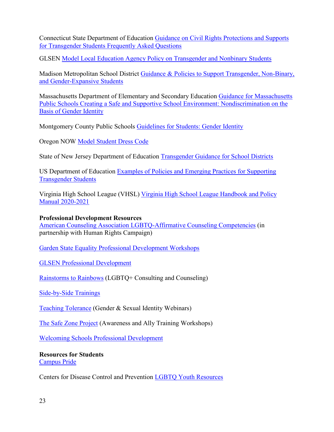<span id="page-22-0"></span>Connecticut State Department of Education [Guidance on Civil Rights Protections and Supports](https://portal.ct.gov/-/media/SDE/Title-IX/transgender_guidance_faq.pdf?la=en)  [for Transgender Students Frequently Asked Questions](https://portal.ct.gov/-/media/SDE/Title-IX/transgender_guidance_faq.pdf?la=en)

GLSEN [Model Local Education Agency Policy on Transgender and Nonbinary Students](https://www.glsen.org/sites/default/files/2020-11/Model-Local-Education-Agency-Policy-on-Transgender-Nonbinary-Students.pdf)

Madison Metropolitan School District [Guidance & Policies to Support Transgender, Non-Binary,](https://support.madison.k12.wi.us/guidance-policies-support-transgender-non-binary-and-gender-expansive-students)  [and Gender-Expansive Students](https://support.madison.k12.wi.us/guidance-policies-support-transgender-non-binary-and-gender-expansive-students) 

Massachusetts Department of Elementary and Secondary Education [Guidance for Massachusetts](https://resources.finalsite.net/images/v1559688007/bvsdorg/jmzomuch2pqpxnediene/AC-E3.pdf)  [Public Schools Creating a Safe and Supportive School Environment: Nondiscrimination on the](https://resources.finalsite.net/images/v1559688007/bvsdorg/jmzomuch2pqpxnediene/AC-E3.pdf)  [Basis of Gender Identity](https://resources.finalsite.net/images/v1559688007/bvsdorg/jmzomuch2pqpxnediene/AC-E3.pdf) 

Montgomery County Public Schools [Guidelines for Students: Gender Identity](https://www.montgomeryschoolsmd.org/uploadedFiles/compliance/GenderIdentifyGuidelinesForStudents.pdf)

Oregon NOW [Model Student Dress Code](http://noworegon.org/wp-content/uploads/sites/12/2018/01/or_now_model_student_dress_code_feb_2016__1_.pdf)

State of New Jersey Department of Education [Transgender Guidance for School Districts](https://nj.gov/education/students/safety/sandp/transgender/)

US Department of Education [Examples of Policies and Emerging Practices for Supporting](https://www2.ed.gov/about/offices/list/oese/oshs/emergingpractices.pdf)  [Transgender Students](https://www2.ed.gov/about/offices/list/oese/oshs/emergingpractices.pdf) 

Virginia High School League (VHSL) [Virginia High School League Handbook and Policy](https://drive.google.com/file/d/1bAp-szoI6yLz_ZFzFVTbyEgiCBH0ZXGA/view)  [Manual 2020-2021](https://drive.google.com/file/d/1bAp-szoI6yLz_ZFzFVTbyEgiCBH0ZXGA/view) 

#### **Professional Development Resources**

[American Counseling Association LGBTQ-Affirmative Counseling Competencies](https://aca.digitellinc.com/aca/lessons/1) (in partnership with Human Rights Campaign)

[Garden State Equality Professional Development Workshops](https://www.gardenstateequality.org/professional_development_workshops) 

[GLSEN Professional Development](https://www.glsen.org/professional-development) 

[Rainstorms to Rainbows](http://rainstormstorainbows.weebly.com/about.html) (LGBTQ+ Consulting and Counseling)

[Side-by-Side Trainings](http://www.sidebysideva.org/trainings) 

[Teaching Tolerance](https://www.tolerance.org/search?f%5B0%5D=facet_content_type%3Awebinar&f%5B1%5D=facet_sitewide_topic%3A6) (Gender & Sexual Identity Webinars)

[The Safe Zone Project](https://thesafezoneproject.com/) (Awareness and Ally Training Workshops)

[Welcoming Schools Professional Development](https://www.welcomingschools.org/training/) 

**Resources for Students**  [Campus Pride](https://www.campuspride.org/) 

Centers for Disease Control and Prevention [LGBTQ Youth Resources](https://www.cdc.gov/lgbthealth/youth-resources.htm)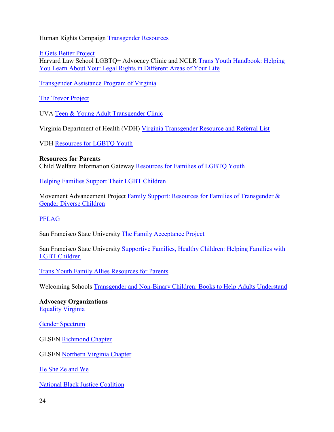<span id="page-23-0"></span>Human Rights Campaign [Transgender Resources](https://www.hrc.org/resources/transgender) 

[It Gets Better Project](https://itgetsbetter.org/)  Harvard Law School LGBTQ+ Advocacy Clinic and NCLR [Trans Youth Handbook: Helping](https://www.harvardlgbtq.org/trans-youth-handbook) [You Learn About Your Legal Rights in Different Areas of Your Life](https://www.harvardlgbtq.org/trans-youth-handbook) 

[Transgender Assistance Program of Virginia](https://tapvirginia.org/) 

[The Trevor Project](https://www.thetrevorproject.org/) 

UVA [Teen & Young Adult Transgender Clinic](https://med.virginia.edu/pediatrics/divisions/division-of-general-pediatrics/teen-young-adult-clinic/teen-young-adult-transgender-clinic/)

Virginia Department of Health (VDH) [Virginia Transgender Resource and Referral List](https://www.vdh.virginia.gov/content/uploads/sites/10/2019/04/TransRRList.pdf)

VDH [Resources for LGBTQ Youth](https://www.vdh.virginia.gov/adolescent-health/resources-for-lgbtq-youth/) 

#### **Resources for Parents**

Child Welfare Information Gateway [Resources for Families of LGBTQ Youth](https://www.childwelfare.gov/topics/systemwide/diverse-populations/lgbtq/lgbt-families/)

[Helping Families Support Their LGBT Children](https://nccc.georgetown.edu/documents/LGBT_Brief.pdf) 

Movement Advancement Project Family Support: Resources for Families of Transgender & [Gender Diverse Children](https://www.lgbtmap.org/advancing-acceptance-for-parents) 

#### [PFLAG](https://pflag.org/)

San Francisco State University [The Family Acceptance Project](https://familyproject.sfsu.edu/) 

San Francisco State University [Supportive Families, Healthy Children: Helping Families with](https://familyproject.sfsu.edu/sites/default/files/FAP_English%20Booklet_pst.pdf) [LGBT Children](https://familyproject.sfsu.edu/sites/default/files/FAP_English%20Booklet_pst.pdf) 

[Trans Youth Family Allies Resources for Parents](http://www.imatyfa.org/parents.html) 

Welcoming Schools [Transgender and Non-Binary Children: Books to Help Adults Understand](https://www.welcomingschools.org/pages/gender-identity-and-children-books-to-help-adults-understand/) 

**Advocacy Organizations**  [Equality Virginia](https://www.equalityvirginia.org/) 

[Gender Spectrum](https://www.genderspectrum.org/)

GLSEN [Richmond Chapter](https://www.glsen.org/chapter/richmond)

GLSEN [Northern Virginia Chapter](https://www.glsen.org/chapter/northern-virginia) 

[He She Ze and We](https://heshezewe.org/) 

[National Black Justice Coalition](http://nbjc.org/)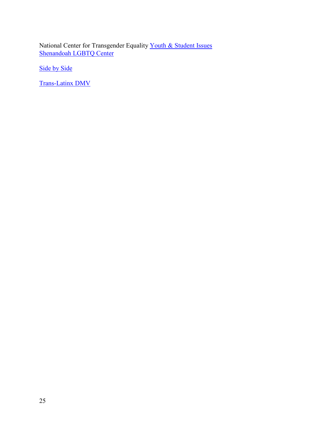National Center for Transgender Equality Youth & Student Issues Shenandoah LGBTQ Center

[Side by Side](http://www.sidebysideva.org/) 

[Trans-Latinx DMV](https://www.translatinxdmv.org/)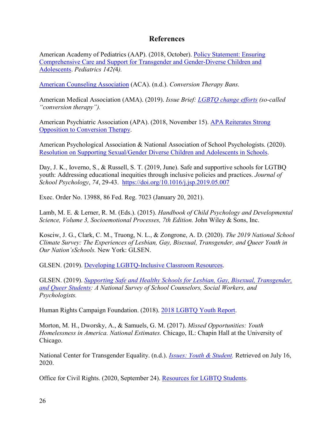## **References**

<span id="page-25-0"></span>American Academy of Pediatrics (AAP). (2018, October). [Policy Statement: Ensuring](https://pediatrics.aappublications.org/content/142/4/e20182162)  [Comprehensive Care and Support for Transgender and Gender-Diverse Children and](https://pediatrics.aappublications.org/content/142/4/e20182162)  [Adolescents.](https://pediatrics.aappublications.org/content/142/4/e20182162) *Pediatrics 142(*4*).* 

[American Counseling Association](https://www.counseling.org/government-affairs/state-issues/conversion-therapy-bans) (ACA). (n.d.). *Conversion Therapy Bans.*

American Medical Association (AMA). (2019). *Issue Brief: [LGBTQ change efforts](https://www.ama-assn.org/system/files/2019-12/conversion-therapy-issue-brief.pdf) (so-called "conversion therapy").* 

American Psychiatric Association (APA). (2018, November 15). [APA Reiterates Strong](https://www.psychiatry.org/newsroom/news-releases/apa-reiterates-strong-opposition-to-conversion-therapy)  [Opposition to Conversion Therapy.](https://www.psychiatry.org/newsroom/news-releases/apa-reiterates-strong-opposition-to-conversion-therapy)

American Psychological Association & National Association of School Psychologists. (2020). [Resolution on Supporting Sexual/Gender Diverse Children and Adolescents in Schools.](https://www.apa.org/pi/lgbt/resources/policy/gender-diverse-children)

Day, J. K., Ioverno, S., & Russell, S. T. (2019, June). Safe and supportive schools for LGTBQ youth: Addressing educational inequities through inclusive policies and practices. *Journal of School Psychology*, *74*, 29-43. <https://doi.org/10.1016/j.jsp.2019.05.007>

Exec. Order No. 13988, 86 Fed. Reg. 7023 (January 20, 2021).

Lamb, M. E. & Lerner, R. M. (Eds.). (2015). *Handbook of Child Psychology and Developmental Science, Volume 3, Socioemotional Processes, 7th Edition. John Wiley & Sons, Inc.* 

Kosciw, J. G., Clark, C. M., Truong, N. L., & Zongrone, A. D. (2020). *The 2019 National School Climate Survey: The Experiences of Lesbian, Gay, Bisexual, Transgender, and Queer Youth in Our Nation'sSchools.* New York: GLSEN.

GLSEN. (2019). [Developing LGBTQ-Inclusive Classroom Resources](https://www.glsen.org/sites/default/files/2019-11/GLSEN_LGBTQ_Inclusive_Curriculum_Resource_2019_0.pdf).

GLSEN. (2019). *[Supporting Safe and Healthy Schools for Lesbian, Gay, Bisexual, Transgender,](https://www.glsen.org/research/supporting-safe-and-healthy-schools-national-survey-mental-health-providers)  [and Queer Students:](https://www.glsen.org/research/supporting-safe-and-healthy-schools-national-survey-mental-health-providers) A National Survey of School Counselors, Social Workers, and Psychologists.* 

Human Rights Campaign Foundation. (2018). [2018 LGBTQ Youth Report.](https://assets2.hrc.org/files/assets/resources/2018-YouthReport-NoVid.pdf?_ga=2.54370792.1726125735.1595361122-2036218702.1595361122)

Morton, M. H., Dworsky, A., & Samuels, G. M. (2017). *Missed Opportunities: Youth Homelessness in America. National Estimates.* Chicago, IL: Chapin Hall at the University of Chicago.

National Center for Transgender Equality. (n.d.). *[Issues: Youth & Student.](https://transequality.org/issues/youth-students)* Retrieved on July 16, 2020.

Office for Civil Rights. (2020, September 24). [Resources for LGBTQ Students.](https://www2.ed.gov/about/offices/list/ocr/lgbt.html)